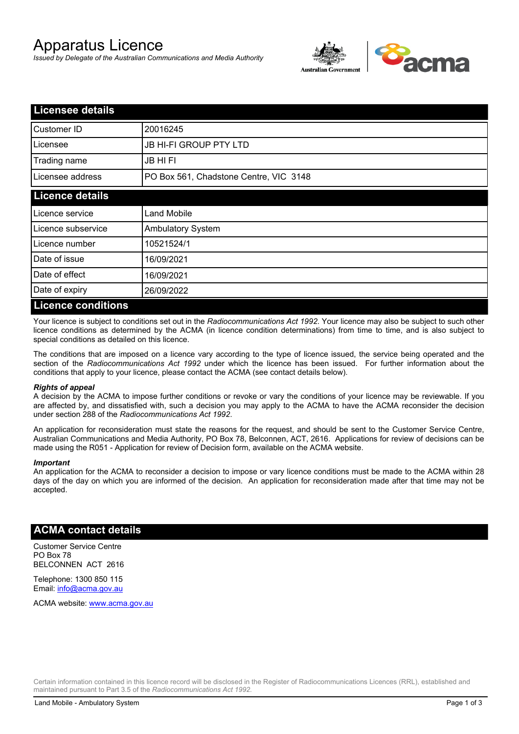# Apparatus Licence

*Issued by Delegate of the Australian Communications and Media Authority*



| <b>Licensee details</b>   |                                        |  |  |
|---------------------------|----------------------------------------|--|--|
| Customer ID               | 20016245                               |  |  |
| Licensee                  | <b>JB HI-FI GROUP PTY LTD</b>          |  |  |
| Trading name              | <b>JB HIFI</b>                         |  |  |
| Licensee address          | PO Box 561, Chadstone Centre, VIC 3148 |  |  |
| <b>Licence details</b>    |                                        |  |  |
| Licence service           | <b>Land Mobile</b>                     |  |  |
| Licence subservice        | Ambulatory System                      |  |  |
| Licence number            | 10521524/1                             |  |  |
| Date of issue             | 16/09/2021                             |  |  |
| Date of effect            | 16/09/2021                             |  |  |
| Date of expiry            | 26/09/2022                             |  |  |
| <b>Licence conditions</b> |                                        |  |  |

Your licence is subject to conditions set out in the *Radiocommunications Act 1992*. Your licence may also be subject to such other licence conditions as determined by the ACMA (in licence condition determinations) from time to time, and is also subject to special conditions as detailed on this licence.

The conditions that are imposed on a licence vary according to the type of licence issued, the service being operated and the section of the *Radiocommunications Act 1992* under which the licence has been issued. For further information about the conditions that apply to your licence, please contact the ACMA (see contact details below).

#### *Rights of appeal*

A decision by the ACMA to impose further conditions or revoke or vary the conditions of your licence may be reviewable. If you are affected by, and dissatisfied with, such a decision you may apply to the ACMA to have the ACMA reconsider the decision under section 288 of the *Radiocommunications Act 1992*.

An application for reconsideration must state the reasons for the request, and should be sent to the Customer Service Centre, Australian Communications and Media Authority, PO Box 78, Belconnen, ACT, 2616. Applications for review of decisions can be made using the R051 - Application for review of Decision form, available on the ACMA website.

#### *Important*

An application for the ACMA to reconsider a decision to impose or vary licence conditions must be made to the ACMA within 28 days of the day on which you are informed of the decision. An application for reconsideration made after that time may not be accepted.

## **ACMA contact details**

Customer Service Centre PO Box 78 BELCONNEN ACT 2616

Telephone: 1300 850 115 Email: info@acma.gov.au

ACMA website: www.acma.gov.au

Certain information contained in this licence record will be disclosed in the Register of Radiocommunications Licences (RRL), established and maintained pursuant to Part 3.5 of the *Radiocommunications Act 1992.*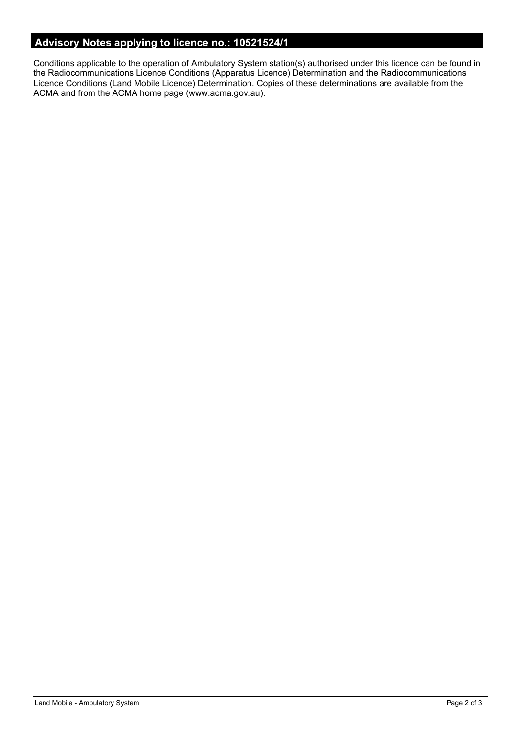## **Advisory Notes applying to licence no.: 10521524/1**

Conditions applicable to the operation of Ambulatory System station(s) authorised under this licence can be found in the Radiocommunications Licence Conditions (Apparatus Licence) Determination and the Radiocommunications Licence Conditions (Land Mobile Licence) Determination. Copies of these determinations are available from the ACMA and from the ACMA home page (www.acma.gov.au).